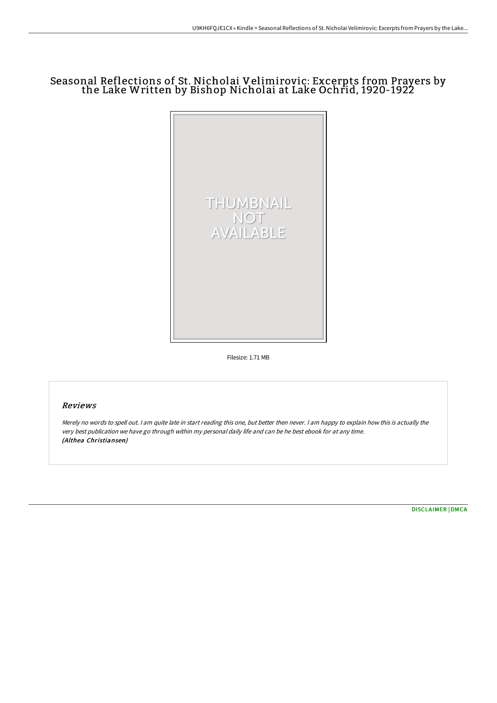# Seasonal Reflections of St. Nicholai Velimirovic: Excerpts from Prayers by the Lake Written by Bishop Nicholai at Lake Ochrid, 1920-1922



Filesize: 1.71 MB

### Reviews

Merely no words to spell out. I am quite late in start reading this one, but better then never. I am happy to explain how this is actually the very best publication we have go through within my personal daily life and can be he best ebook for at any time. (Althea Christiansen)

[DISCLAIMER](http://digilib.live/disclaimer.html) | [DMCA](http://digilib.live/dmca.html)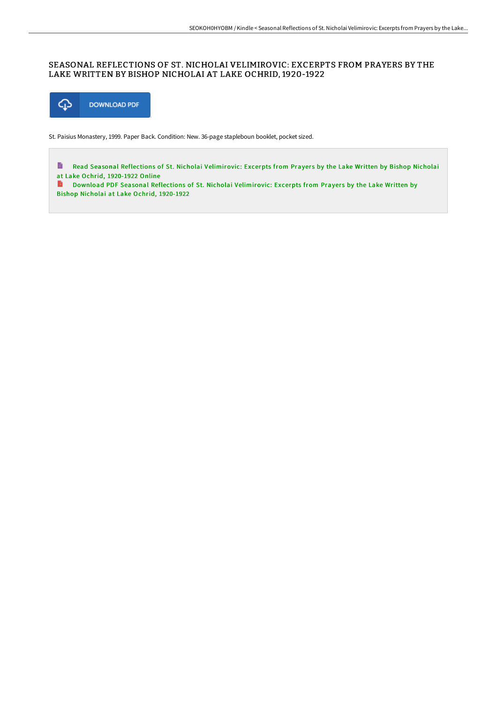#### SEASONAL REFLECTIONS OF ST. NICHOLAI VELIMIROVIC: EXCERPTS FROM PRAYERS BY THE LAKE WRITTEN BY BISHOP NICHOLAI AT LAKE OCHRID, 1920-1922



St. Paisius Monastery, 1999. Paper Back. Condition: New. 36-page stapleboun booklet, pocket sized.

 $\blacksquare$ Read Seasonal Reflections of St. Nicholai [Velimirovic:](http://digilib.live/seasonal-reflections-of-st-nicholai-velimirovic-.html) Excerpts from Prayers by the Lake Written by Bishop Nicholai at Lake Ochrid, 1920-1922 Online

**D** Download PDF Seasonal Reflections of St. Nicholai [Velimirovic:](http://digilib.live/seasonal-reflections-of-st-nicholai-velimirovic-.html) Excerpts from Prayers by the Lake Written by Bishop Nicholai at Lake Ochrid, 1920-1922